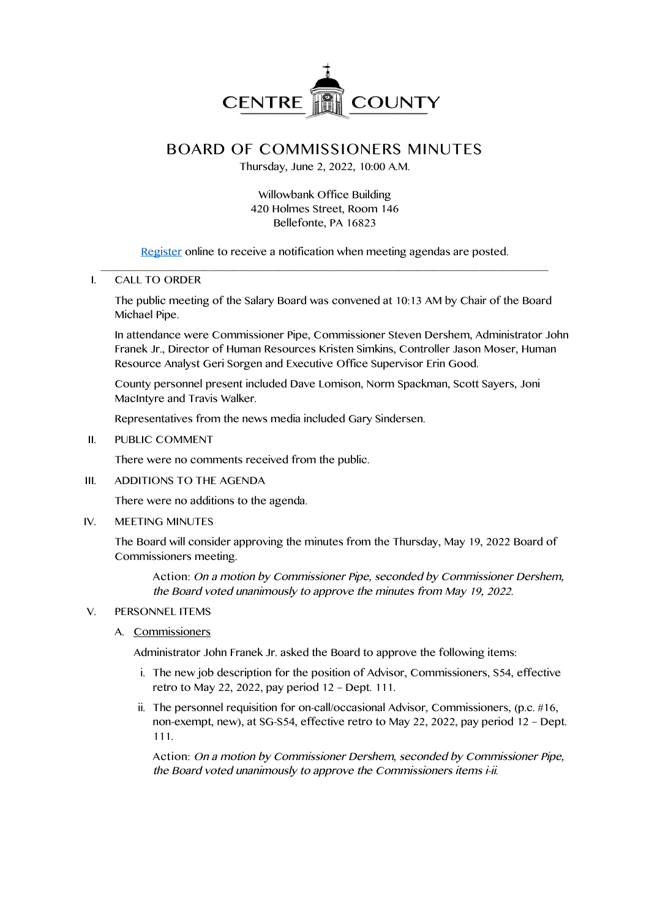

# **BOARD OF COMMISSIONERS MINUTES**

Thursday, June 2, 2022, 10:00 A.M.

## Willowbank Office Building 420 Holmes Street, Room 146 Bellefonte, PA 16823

Register online to receive a notification when meeting agendas are posted. \_\_\_\_\_\_\_\_\_\_\_\_\_\_\_\_\_\_\_\_\_\_\_\_\_\_\_\_\_\_\_\_\_\_\_\_\_\_\_\_\_\_\_\_\_\_\_\_\_\_\_\_\_\_\_\_\_\_\_\_\_\_\_\_\_\_\_\_\_\_\_\_\_\_\_\_\_\_

#### I. CALL TO ORDER

The public meeting of the Salary Board was convened at 10:13 AM by Chair of the Board Michael Pipe.

In attendance were Commissioner Pipe, Commissioner Steven Dershem, Administrator John Franek Jr., Director of Human Resources Kristen Simkins, Controller Jason Moser, Human Resource Analyst Geri Sorgen and Executive Office Supervisor Erin Good.

County personnel present included Dave Lomison, Norm Spackman, Scott Sayers, Joni MacIntyre and Travis Walker.

Representatives from the news media included Gary Sindersen.

II. PUBLIC COMMENT

There were no comments received from the public.

III. ADDITIONS TO THE AGENDA

There were no additions to the agenda.

IV. MEETING MINUTES

The Board will consider approving the minutes from the Thursday, May 19, 2022 Board of Commissioners meeting.

**Action**: On <sup>a</sup> motion by Commissioner Pipe, seconded by Commissioner Dershem, the Board voted unanimously to approve the minutes from May 19, 2022.

- V. PERSONNEL ITEMS
	- A. Commissioners

Administrator John Franek Jr. asked the Board to approve the following items:

- i. The new job description for the position of Advisor, Commissioners, S54, effective retro to May 22, 2022, pay period 12 – Dept. 111.
- ii. The personnel requisition for on-call/occasional Advisor, Commissioners, (p.c. #16, non-exempt, new), at SG-S54, effective retro to May 22, 2022, pay period 12 – Dept. 111.

**Action:** On <sup>a</sup> motion by Commissioner Dershem, seconded by Commissioner Pipe, the Board voted unanimously to approve the Commissioners items i-ii.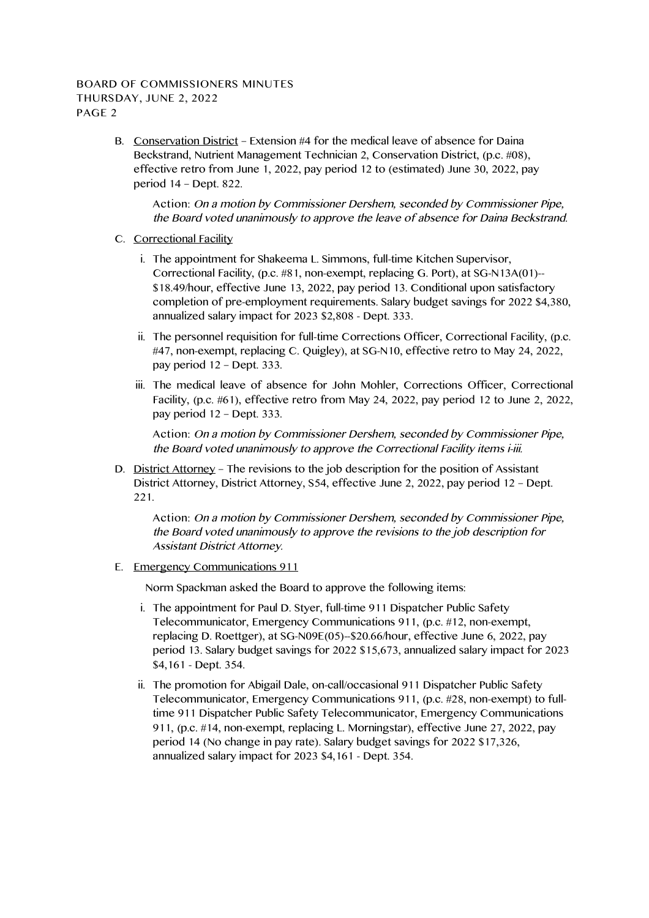## **BOARD OF COMMISSIONERS MINUTES THURSDAY, JUNE 2, 2022 PAGE 2**

B. Conservation District – Extension #4 for the medical leave of absence for Daina Beckstrand, Nutrient Management Technician 2, Conservation District, (p.c. #08), effective retro from June 1, 2022, pay period 12 to (estimated) June 30, 2022, pay period 14 – Dept. 822.

**Action:** On <sup>a</sup> motion by Commissioner Dershem, seconded by Commissioner Pipe, the Board voted unanimously to approve the leave of absence for Daina Beckstrand.

- C. Correctional Facility
	- i. The appointment for Shakeema L. Simmons, full-time Kitchen Supervisor, Correctional Facility, (p.c. #81, non-exempt, replacing G. Port), at SG-N13A(01)-- \$18.49/hour, effective June 13, 2022, pay period 13. Conditional upon satisfactory completion of pre-employment requirements. Salary budget savings for 2022 \$4,380, annualized salary impact for 2023 \$2,808 - Dept. 333.
	- ii. The personnel requisition for full-time Corrections Officer, Correctional Facility, (p.c. #47, non-exempt, replacing C. Quigley), at SG-N10, effective retro to May 24, 2022, pay period 12 – Dept. 333.
	- iii. The medical leave of absence for John Mohler, Corrections Officer, Correctional Facility, (p.c. #61), effective retro from May 24, 2022, pay period 12 to June 2, 2022, pay period 12 – Dept. 333.

**Action:** On <sup>a</sup> motion by Commissioner Dershem, seconded by Commissioner Pipe, the Board voted unanimously to approve the Correctional Facility items i-iii.

D. District Attorney – The revisions to the job description for the position of Assistant District Attorney, District Attorney, S54, effective June 2, 2022, pay period 12 – Dept. 221.

**Action:** On <sup>a</sup> motion by Commissioner Dershem, seconded by Commissioner Pipe, the Board voted unanimously to approve the revisions to the job description for Assistant District Attorney.

E. Emergency Communications 911

Norm Spackman asked the Board to approve the following items:

- i. The appointment for Paul D. Styer, full-time 911 Dispatcher Public Safety Telecommunicator, Emergency Communications 911, (p.c. #12, non-exempt, replacing D. Roettger), at SG-N09E(05)--\$20.66/hour, effective June 6, 2022, pay period 13. Salary budget savings for 2022 \$15,673, annualized salary impact for 2023 \$4,161 - Dept. 354.
- ii. The promotion for Abigail Dale, on-call/occasional 911 Dispatcher Public Safety Telecommunicator, Emergency Communications 911, (p.c. #28, non-exempt) to fulltime 911 Dispatcher Public Safety Telecommunicator, Emergency Communications 911, (p.c. #14, non-exempt, replacing L. Morningstar), effective June 27, 2022, pay period 14 (No change in pay rate). Salary budget savings for 2022 \$17,326, annualized salary impact for 2023 \$4,161 - Dept. 354.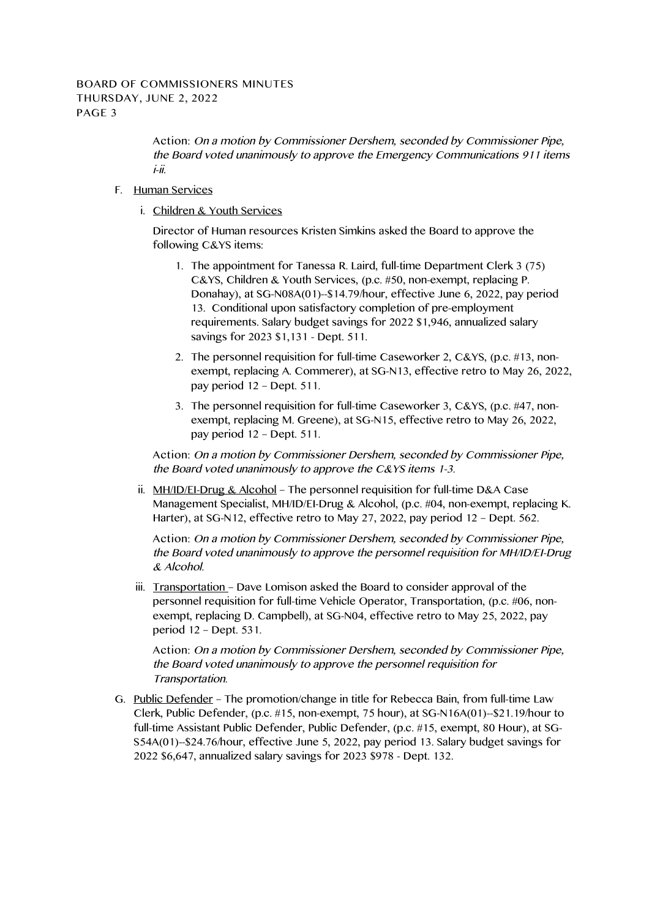**Action:** On <sup>a</sup> motion by Commissioner Dershem, seconded by Commissioner Pipe, the Board voted unanimously to approve the Emergency Communications <sup>911</sup> items i-ii.

- F. Human Services
	- i. Children & Youth Services

Director of Human resources Kristen Simkins asked the Board to approve the following C&YS items:

- 1. The appointment for Tanessa R. Laird, full-time Department Clerk 3 (75) C&YS, Children & Youth Services, (p.c. #50, non-exempt, replacing P. Donahay), at SG-N08A(01)--\$14.79/hour, effective June 6, 2022, pay period 13. Conditional upon satisfactory completion of pre-employment requirements. Salary budget savings for 2022 \$1,946, annualized salary savings for 2023 \$1,131 - Dept. 511.
- 2. The personnel requisition for full-time Caseworker 2, C&YS, (p.c. #13, nonexempt, replacing A. Commerer), at SG-N13, effective retro to May 26, 2022, pay period 12 – Dept. 511.
- 3. The personnel requisition for full-time Caseworker 3, C&YS, (p.c. #47, nonexempt, replacing M. Greene), at SG-N15, effective retro to May 26, 2022, pay period 12 – Dept. 511.

**Action:** On <sup>a</sup> motion by Commissioner Dershem, seconded by Commissioner Pipe, the Board voted unanimously to approve the C&YS items 1-3.

ii.  $MH/ID/EI- Drug & Alcohol - The personnel regulation for full-time D&A Case$ Management Specialist, MH/ID/EI-Drug & Alcohol, (p.c. #04, non-exempt, replacing K. Harter), at SG-N12, effective retro to May 27, 2022, pay period 12 – Dept. 562.

**Action:** On <sup>a</sup> motion by Commissioner Dershem, seconded by Commissioner Pipe, the Board voted unanimously to approve the personnel requisition for MH/ID/EI-Drug & Alcohol.

iii. Transportation – Dave Lomison asked the Board to consider approval of the personnel requisition for full-time Vehicle Operator, Transportation, (p.c. #06, nonexempt, replacing D. Campbell), at SG-N04, effective retro to May 25, 2022, pay period 12 – Dept. 531.

**Action:** On <sup>a</sup> motion by Commissioner Dershem, seconded by Commissioner Pipe, the Board voted unanimously to approve the personnel requisition for Transportation.

G. Public Defender – The promotion/change in title for Rebecca Bain, from full-time Law Clerk, Public Defender, (p.c. #15, non-exempt, 75 hour), at SG-N16A(01)--\$21.19/hour to full-time Assistant Public Defender, Public Defender, (p.c. #15, exempt, 80 Hour), at SG-S54A(01)--\$24.76/hour, effective June 5, 2022, pay period 13. Salary budget savings for 2022 \$6,647, annualized salary savings for 2023 \$978 - Dept. 132.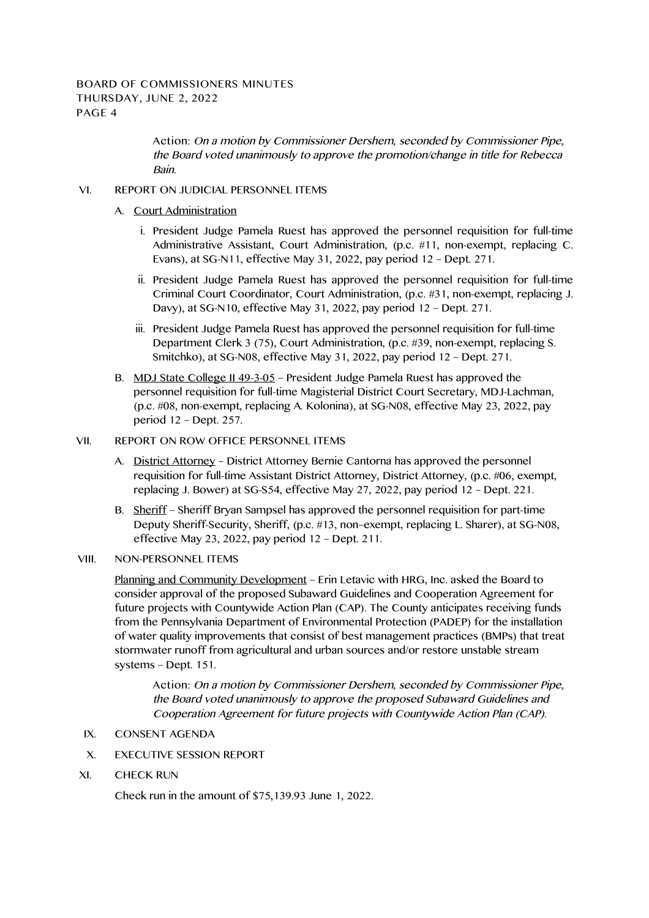**Action:** On <sup>a</sup> motion by Commissioner Dershem, seconded by Commissioner Pipe, the Board voted unanimously to approve the promotion/change in title for Rebecca Bain.

## VI. REPORT ON JUDICIAL PERSONNEL ITEMS

- A. Court Administration
	- i. President Judge Pamela Ruest has approved the personnel requisition for full-time Administrative Assistant, Court Administration, (p.c. #11, non-exempt, replacing C. Evans), at SG-N11, effective May 31, 2022, pay period 12 – Dept. 271.
	- ii. President Judge Pamela Ruest has approved the personnel requisition for full-time Criminal Court Coordinator, Court Administration, (p.c. #31, non-exempt, replacing J. Davy), at SG-N10, effective May 31, 2022, pay period 12 – Dept. 271.
	- iii. President Judge Pamela Ruest has approved the personnel requisition for full-time Department Clerk 3 (75), Court Administration, (p.c. #39, non-exempt, replacing S. Smitchko), at SG-N08, effective May 31, 2022, pay period 12 – Dept. 271.
- B. MDJ State College II 49-3-05 President Judge Pamela Ruest has approved the personnel requisition for full-time Magisterial District Court Secretary, MDJ-Lachman, (p.c. #08, non-exempt, replacing A. Kolonina), at SG-N08, effective May 23, 2022, pay period 12 – Dept. 257.

#### VII. REPORT ON ROW OFFICE PERSONNEL ITEMS

- A. District Attorney District Attorney Bernie Cantorna has approved the personnel requisition for full-time Assistant District Attorney, District Attorney, (p.c. #06, exempt, replacing J. Bower) at SG-S54, effective May 27, 2022, pay period 12 – Dept. 221.
- B. Sheriff Sheriff Bryan Sampsel has approved the personnel requisition for part-time Deputy Sheriff-Security, Sheriff, (p.c. #13, non–exempt, replacing L. Sharer), at SG-N08, effective May 23, 2022, pay period 12 – Dept. 211.

## VIII. NON-PERSONNEL ITEMS

Planning and Community Development – Erin Letavic with HRG, Inc. asked the Board to consider approval of the proposed Subaward Guidelines and Cooperation Agreement for future projects with Countywide Action Plan (CAP). The County anticipates receiving funds from the Pennsylvania Department of Environmental Protection (PADEP) for the installation of water quality improvements that consist of best management practices (BMPs) that treat stormwater runoff from agricultural and urban sources and/or restore unstable stream systems – Dept. 151.

**Action:** On <sup>a</sup> motion by Commissioner Dershem, seconded by Commissioner Pipe, the Board voted unanimously to approve the proposed Subaward Guidelines and Cooperation Agreement for future projects with Countywide Action Plan (CAP).

- IX. CONSENT AGENDA
- X. EXECUTIVE SESSION REPORT
- XI. CHECK RUN

Check run in the amount of \$75,139.93 June 1, 2022.